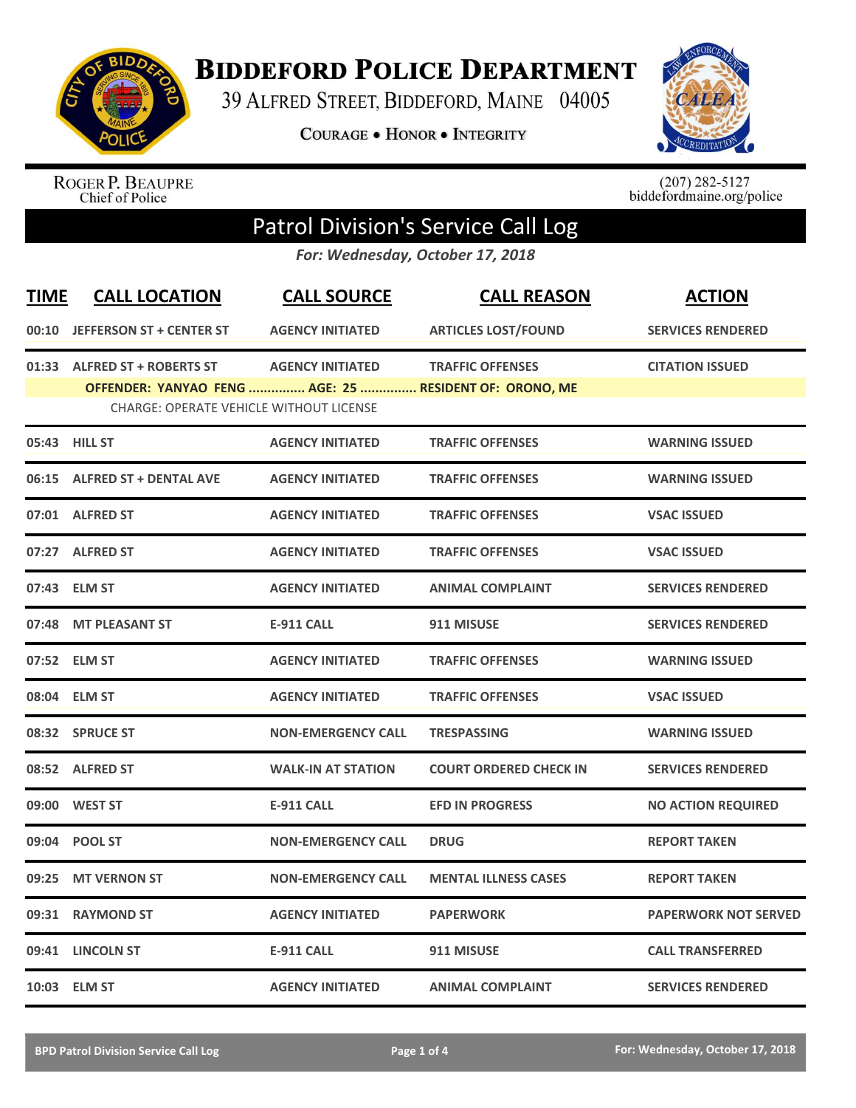

## **BIDDEFORD POLICE DEPARTMENT**

39 ALFRED STREET, BIDDEFORD, MAINE 04005

**COURAGE . HONOR . INTEGRITY** 



ROGER P. BEAUPRE<br>Chief of Police

 $(207)$  282-5127<br>biddefordmaine.org/police

## Patrol Division's Service Call Log

*For: Wednesday, October 17, 2018*

| <b>TIME</b> | <b>CALL LOCATION</b>                                   | <b>CALL SOURCE</b>        | <b>CALL REASON</b>            | <b>ACTION</b>               |
|-------------|--------------------------------------------------------|---------------------------|-------------------------------|-----------------------------|
|             | 00:10 JEFFERSON ST + CENTER ST                         | <b>AGENCY INITIATED</b>   | <b>ARTICLES LOST/FOUND</b>    | <b>SERVICES RENDERED</b>    |
|             | 01:33 ALFRED ST + ROBERTS ST                           | <b>AGENCY INITIATED</b>   | <b>TRAFFIC OFFENSES</b>       | <b>CITATION ISSUED</b>      |
|             | OFFENDER: YANYAO FENG  AGE: 25  RESIDENT OF: ORONO, ME |                           |                               |                             |
|             | <b>CHARGE: OPERATE VEHICLE WITHOUT LICENSE</b>         |                           |                               |                             |
|             | 05:43 HILL ST                                          | <b>AGENCY INITIATED</b>   | <b>TRAFFIC OFFENSES</b>       | <b>WARNING ISSUED</b>       |
|             | 06:15 ALFRED ST + DENTAL AVE                           | <b>AGENCY INITIATED</b>   | <b>TRAFFIC OFFENSES</b>       | <b>WARNING ISSUED</b>       |
|             | 07:01 ALFRED ST                                        | <b>AGENCY INITIATED</b>   | <b>TRAFFIC OFFENSES</b>       | <b>VSAC ISSUED</b>          |
| 07:27       | <b>ALFRED ST</b>                                       | <b>AGENCY INITIATED</b>   | <b>TRAFFIC OFFENSES</b>       | <b>VSAC ISSUED</b>          |
| 07:43       | <b>ELM ST</b>                                          | <b>AGENCY INITIATED</b>   | <b>ANIMAL COMPLAINT</b>       | <b>SERVICES RENDERED</b>    |
| 07:48       | <b>MT PLEASANT ST</b>                                  | <b>E-911 CALL</b>         | 911 MISUSE                    | <b>SERVICES RENDERED</b>    |
| 07:52       | <b>ELM ST</b>                                          | <b>AGENCY INITIATED</b>   | <b>TRAFFIC OFFENSES</b>       | <b>WARNING ISSUED</b>       |
| 08:04       | <b>ELM ST</b>                                          | <b>AGENCY INITIATED</b>   | <b>TRAFFIC OFFENSES</b>       | <b>VSAC ISSUED</b>          |
|             | 08:32 SPRUCE ST                                        | <b>NON-EMERGENCY CALL</b> | <b>TRESPASSING</b>            | <b>WARNING ISSUED</b>       |
|             | 08:52 ALFRED ST                                        | <b>WALK-IN AT STATION</b> | <b>COURT ORDERED CHECK IN</b> | <b>SERVICES RENDERED</b>    |
|             | 09:00 WEST ST                                          | <b>E-911 CALL</b>         | <b>EFD IN PROGRESS</b>        | <b>NO ACTION REQUIRED</b>   |
| 09:04       | <b>POOL ST</b>                                         | <b>NON-EMERGENCY CALL</b> | <b>DRUG</b>                   | <b>REPORT TAKEN</b>         |
| 09:25       | <b>MT VERNON ST</b>                                    | <b>NON-EMERGENCY CALL</b> | <b>MENTAL ILLNESS CASES</b>   | <b>REPORT TAKEN</b>         |
| 09:31       | <b>RAYMOND ST</b>                                      | <b>AGENCY INITIATED</b>   | <b>PAPERWORK</b>              | <b>PAPERWORK NOT SERVED</b> |
| 09:41       | <b>LINCOLN ST</b>                                      | <b>E-911 CALL</b>         | 911 MISUSE                    | <b>CALL TRANSFERRED</b>     |
|             | 10:03 ELM ST                                           | <b>AGENCY INITIATED</b>   | <b>ANIMAL COMPLAINT</b>       | <b>SERVICES RENDERED</b>    |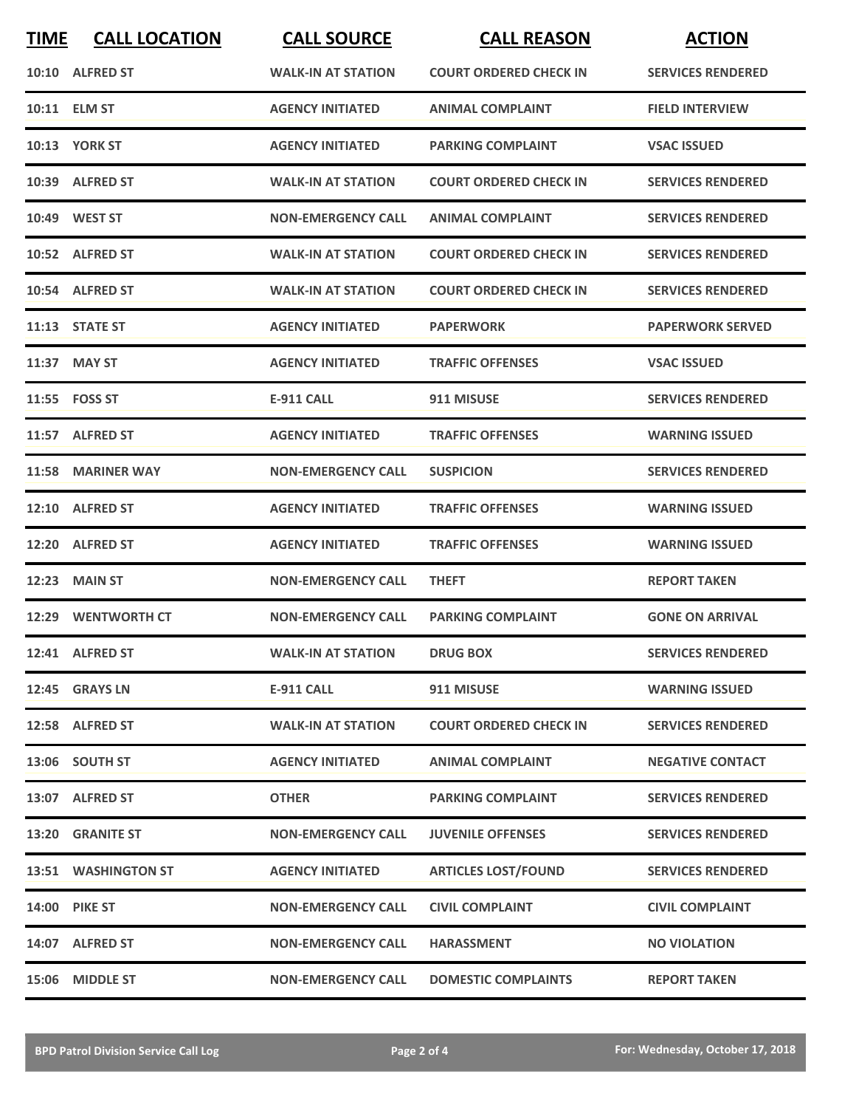| <b>TIME</b> | <b>CALL LOCATION</b> | <b>CALL SOURCE</b>        | <b>CALL REASON</b>            | <b>ACTION</b>            |
|-------------|----------------------|---------------------------|-------------------------------|--------------------------|
|             | 10:10 ALFRED ST      | <b>WALK-IN AT STATION</b> | <b>COURT ORDERED CHECK IN</b> | <b>SERVICES RENDERED</b> |
|             | 10:11 ELM ST         | <b>AGENCY INITIATED</b>   | <b>ANIMAL COMPLAINT</b>       | <b>FIELD INTERVIEW</b>   |
|             | <b>10:13 YORK ST</b> | <b>AGENCY INITIATED</b>   | <b>PARKING COMPLAINT</b>      | <b>VSAC ISSUED</b>       |
|             | 10:39 ALFRED ST      | <b>WALK-IN AT STATION</b> | <b>COURT ORDERED CHECK IN</b> | <b>SERVICES RENDERED</b> |
|             | 10:49 WEST ST        | <b>NON-EMERGENCY CALL</b> | <b>ANIMAL COMPLAINT</b>       | <b>SERVICES RENDERED</b> |
|             | 10:52 ALFRED ST      | <b>WALK-IN AT STATION</b> | <b>COURT ORDERED CHECK IN</b> | <b>SERVICES RENDERED</b> |
|             | 10:54 ALFRED ST      | <b>WALK-IN AT STATION</b> | <b>COURT ORDERED CHECK IN</b> | <b>SERVICES RENDERED</b> |
|             | 11:13 STATE ST       | <b>AGENCY INITIATED</b>   | <b>PAPERWORK</b>              | <b>PAPERWORK SERVED</b>  |
|             | 11:37 MAY ST         | <b>AGENCY INITIATED</b>   | <b>TRAFFIC OFFENSES</b>       | <b>VSAC ISSUED</b>       |
|             | 11:55 FOSS ST        | E-911 CALL                | 911 MISUSE                    | <b>SERVICES RENDERED</b> |
|             | 11:57 ALFRED ST      | <b>AGENCY INITIATED</b>   | <b>TRAFFIC OFFENSES</b>       | <b>WARNING ISSUED</b>    |
| 11:58       | <b>MARINER WAY</b>   | <b>NON-EMERGENCY CALL</b> | <b>SUSPICION</b>              | <b>SERVICES RENDERED</b> |
| 12:10       | <b>ALFRED ST</b>     | <b>AGENCY INITIATED</b>   | <b>TRAFFIC OFFENSES</b>       | <b>WARNING ISSUED</b>    |
| 12:20       | <b>ALFRED ST</b>     | <b>AGENCY INITIATED</b>   | <b>TRAFFIC OFFENSES</b>       | <b>WARNING ISSUED</b>    |
| 12:23       | <b>MAIN ST</b>       | <b>NON-EMERGENCY CALL</b> | <b>THEFT</b>                  | <b>REPORT TAKEN</b>      |
|             | 12:29 WENTWORTH CT   | <b>NON-EMERGENCY CALL</b> | <b>PARKING COMPLAINT</b>      | <b>GONE ON ARRIVAL</b>   |
|             | 12:41 ALFRED ST      | <b>WALK-IN AT STATION</b> | <b>DRUG BOX</b>               | <b>SERVICES RENDERED</b> |
|             | 12:45 GRAYS LN       | <b>E-911 CALL</b>         | 911 MISUSE                    | <b>WARNING ISSUED</b>    |
|             | 12:58 ALFRED ST      | <b>WALK-IN AT STATION</b> | <b>COURT ORDERED CHECK IN</b> | <b>SERVICES RENDERED</b> |
|             | 13:06 SOUTH ST       | <b>AGENCY INITIATED</b>   | <b>ANIMAL COMPLAINT</b>       | <b>NEGATIVE CONTACT</b>  |
|             | 13:07 ALFRED ST      | <b>OTHER</b>              | <b>PARKING COMPLAINT</b>      | <b>SERVICES RENDERED</b> |
|             | 13:20 GRANITE ST     | <b>NON-EMERGENCY CALL</b> | <b>JUVENILE OFFENSES</b>      | <b>SERVICES RENDERED</b> |
|             | 13:51 WASHINGTON ST  | <b>AGENCY INITIATED</b>   | <b>ARTICLES LOST/FOUND</b>    | <b>SERVICES RENDERED</b> |
|             | <b>14:00 PIKE ST</b> | <b>NON-EMERGENCY CALL</b> | <b>CIVIL COMPLAINT</b>        | <b>CIVIL COMPLAINT</b>   |
|             | 14:07 ALFRED ST      | <b>NON-EMERGENCY CALL</b> | <b>HARASSMENT</b>             | <b>NO VIOLATION</b>      |
|             | 15:06 MIDDLE ST      | <b>NON-EMERGENCY CALL</b> | <b>DOMESTIC COMPLAINTS</b>    | <b>REPORT TAKEN</b>      |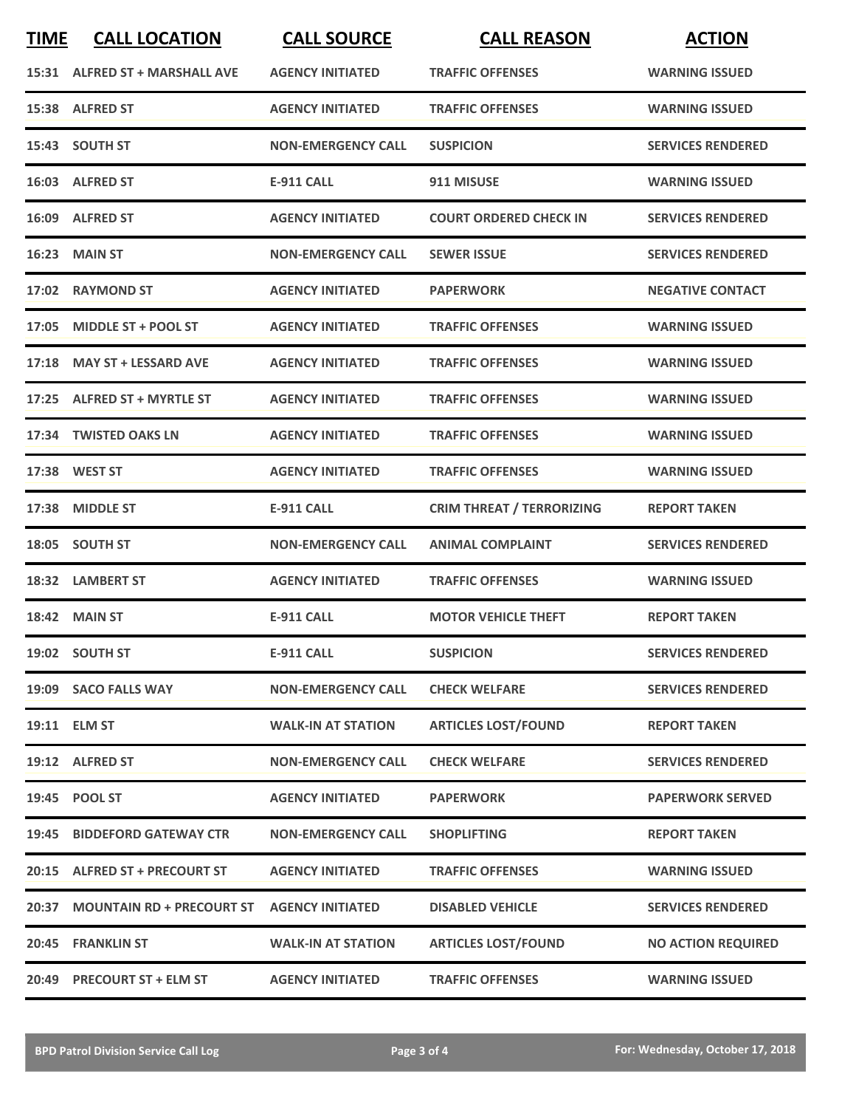| <b>TIME</b> | <b>CALL LOCATION</b>            | <b>CALL SOURCE</b>        | <b>CALL REASON</b>               | <b>ACTION</b>             |
|-------------|---------------------------------|---------------------------|----------------------------------|---------------------------|
|             | 15:31 ALFRED ST + MARSHALL AVE  | <b>AGENCY INITIATED</b>   | <b>TRAFFIC OFFENSES</b>          | <b>WARNING ISSUED</b>     |
|             | 15:38 ALFRED ST                 | <b>AGENCY INITIATED</b>   | <b>TRAFFIC OFFENSES</b>          | <b>WARNING ISSUED</b>     |
|             | 15:43 SOUTH ST                  | <b>NON-EMERGENCY CALL</b> | <b>SUSPICION</b>                 | <b>SERVICES RENDERED</b>  |
|             | 16:03 ALFRED ST                 | <b>E-911 CALL</b>         | 911 MISUSE                       | <b>WARNING ISSUED</b>     |
|             | 16:09 ALFRED ST                 | <b>AGENCY INITIATED</b>   | <b>COURT ORDERED CHECK IN</b>    | <b>SERVICES RENDERED</b>  |
| 16:23       | <b>MAIN ST</b>                  | <b>NON-EMERGENCY CALL</b> | <b>SEWER ISSUE</b>               | <b>SERVICES RENDERED</b>  |
| 17:02       | <b>RAYMOND ST</b>               | <b>AGENCY INITIATED</b>   | <b>PAPERWORK</b>                 | <b>NEGATIVE CONTACT</b>   |
| 17:05       | <b>MIDDLE ST + POOL ST</b>      | <b>AGENCY INITIATED</b>   | <b>TRAFFIC OFFENSES</b>          | <b>WARNING ISSUED</b>     |
|             | 17:18 MAY ST + LESSARD AVE      | <b>AGENCY INITIATED</b>   | <b>TRAFFIC OFFENSES</b>          | <b>WARNING ISSUED</b>     |
|             | 17:25 ALFRED ST + MYRTLE ST     | <b>AGENCY INITIATED</b>   | <b>TRAFFIC OFFENSES</b>          | <b>WARNING ISSUED</b>     |
| 17:34       | <b>TWISTED OAKS LN</b>          | <b>AGENCY INITIATED</b>   | <b>TRAFFIC OFFENSES</b>          | <b>WARNING ISSUED</b>     |
|             | 17:38 WEST ST                   | <b>AGENCY INITIATED</b>   | <b>TRAFFIC OFFENSES</b>          | <b>WARNING ISSUED</b>     |
| 17:38       | <b>MIDDLE ST</b>                | <b>E-911 CALL</b>         | <b>CRIM THREAT / TERRORIZING</b> | <b>REPORT TAKEN</b>       |
| 18:05       | <b>SOUTH ST</b>                 | <b>NON-EMERGENCY CALL</b> | <b>ANIMAL COMPLAINT</b>          | <b>SERVICES RENDERED</b>  |
|             | 18:32 LAMBERT ST                | <b>AGENCY INITIATED</b>   | <b>TRAFFIC OFFENSES</b>          | <b>WARNING ISSUED</b>     |
|             | <b>18:42 MAIN ST</b>            | <b>E-911 CALL</b>         | <b>MOTOR VEHICLE THEFT</b>       | <b>REPORT TAKEN</b>       |
|             | 19:02 SOUTH ST                  | <b>E-911 CALL</b>         | <b>SUSPICION</b>                 | <b>SERVICES RENDERED</b>  |
|             | 19:09 SACO FALLS WAY            | <b>NON-EMERGENCY CALL</b> | <b>CHECK WELFARE</b>             | <b>SERVICES RENDERED</b>  |
|             | 19:11 ELM ST                    | <b>WALK-IN AT STATION</b> | <b>ARTICLES LOST/FOUND</b>       | <b>REPORT TAKEN</b>       |
|             | 19:12 ALFRED ST                 | <b>NON-EMERGENCY CALL</b> | <b>CHECK WELFARE</b>             | <b>SERVICES RENDERED</b>  |
|             | 19:45 POOL ST                   | <b>AGENCY INITIATED</b>   | <b>PAPERWORK</b>                 | <b>PAPERWORK SERVED</b>   |
|             | 19:45 BIDDEFORD GATEWAY CTR     | <b>NON-EMERGENCY CALL</b> | <b>SHOPLIFTING</b>               | <b>REPORT TAKEN</b>       |
|             | 20:15 ALFRED ST + PRECOURT ST   | <b>AGENCY INITIATED</b>   | <b>TRAFFIC OFFENSES</b>          | <b>WARNING ISSUED</b>     |
|             | 20:37 MOUNTAIN RD + PRECOURT ST | <b>AGENCY INITIATED</b>   | <b>DISABLED VEHICLE</b>          | <b>SERVICES RENDERED</b>  |
|             | 20:45 FRANKLIN ST               | <b>WALK-IN AT STATION</b> | <b>ARTICLES LOST/FOUND</b>       | <b>NO ACTION REQUIRED</b> |
|             | 20:49 PRECOURT ST + ELM ST      | <b>AGENCY INITIATED</b>   | <b>TRAFFIC OFFENSES</b>          | <b>WARNING ISSUED</b>     |